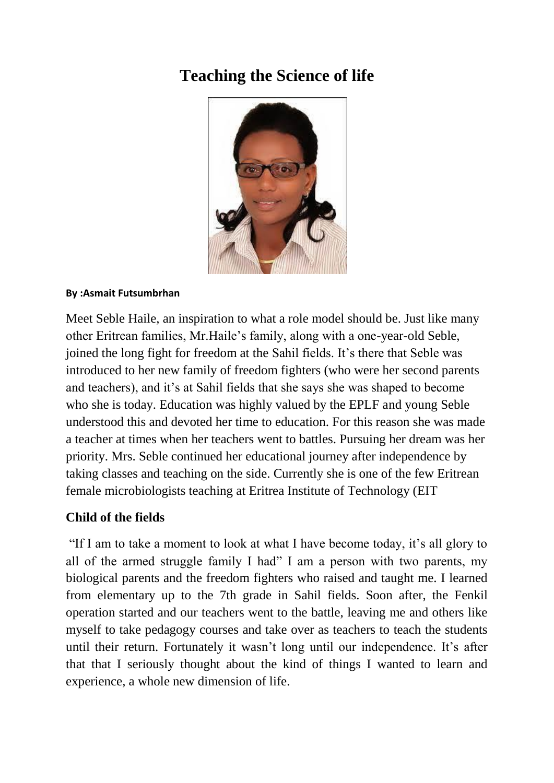# **Teaching the Science of life**



#### **By :Asmait Futsumbrhan**

Meet Seble Haile, an inspiration to what a role model should be. Just like many other Eritrean families, Mr.Haile's family, along with a one-year-old Seble, joined the long fight for freedom at the Sahil fields. It's there that Seble was introduced to her new family of freedom fighters (who were her second parents and teachers), and it's at Sahil fields that she says she was shaped to become who she is today. Education was highly valued by the EPLF and young Seble understood this and devoted her time to education. For this reason she was made a teacher at times when her teachers went to battles. Pursuing her dream was her priority. Mrs. Seble continued her educational journey after independence by taking classes and teaching on the side. Currently she is one of the few Eritrean female microbiologists teaching at Eritrea Institute of Technology (EIT

### **Child of the fields**

"If I am to take a moment to look at what I have become today, it's all glory to all of the armed struggle family I had" I am a person with two parents, my biological parents and the freedom fighters who raised and taught me. I learned from elementary up to the 7th grade in Sahil fields. Soon after, the Fenkil operation started and our teachers went to the battle, leaving me and others like myself to take pedagogy courses and take over as teachers to teach the students until their return. Fortunately it wasn't long until our independence. It's after that that I seriously thought about the kind of things I wanted to learn and experience, a whole new dimension of life.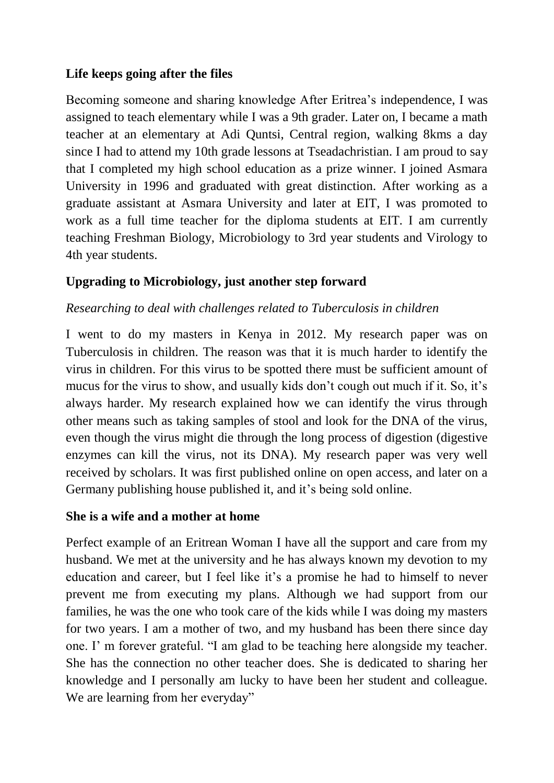#### **Life keeps going after the files**

Becoming someone and sharing knowledge After Eritrea's independence, I was assigned to teach elementary while I was a 9th grader. Later on, I became a math teacher at an elementary at Adi Quntsi, Central region, walking 8kms a day since I had to attend my 10th grade lessons at Tseadachristian. I am proud to say that I completed my high school education as a prize winner. I joined Asmara University in 1996 and graduated with great distinction. After working as a graduate assistant at Asmara University and later at EIT, I was promoted to work as a full time teacher for the diploma students at EIT. I am currently teaching Freshman Biology, Microbiology to 3rd year students and Virology to 4th year students.

### **Upgrading to Microbiology, just another step forward**

#### *Researching to deal with challenges related to Tuberculosis in children*

I went to do my masters in Kenya in 2012. My research paper was on Tuberculosis in children. The reason was that it is much harder to identify the virus in children. For this virus to be spotted there must be sufficient amount of mucus for the virus to show, and usually kids don't cough out much if it. So, it's always harder. My research explained how we can identify the virus through other means such as taking samples of stool and look for the DNA of the virus, even though the virus might die through the long process of digestion (digestive enzymes can kill the virus, not its DNA). My research paper was very well received by scholars. It was first published online on open access, and later on a Germany publishing house published it, and it's being sold online.

#### **She is a wife and a mother at home**

Perfect example of an Eritrean Woman I have all the support and care from my husband. We met at the university and he has always known my devotion to my education and career, but I feel like it's a promise he had to himself to never prevent me from executing my plans. Although we had support from our families, he was the one who took care of the kids while I was doing my masters for two years. I am a mother of two, and my husband has been there since day one. I' m forever grateful. "I am glad to be teaching here alongside my teacher. She has the connection no other teacher does. She is dedicated to sharing her knowledge and I personally am lucky to have been her student and colleague. We are learning from her everyday"